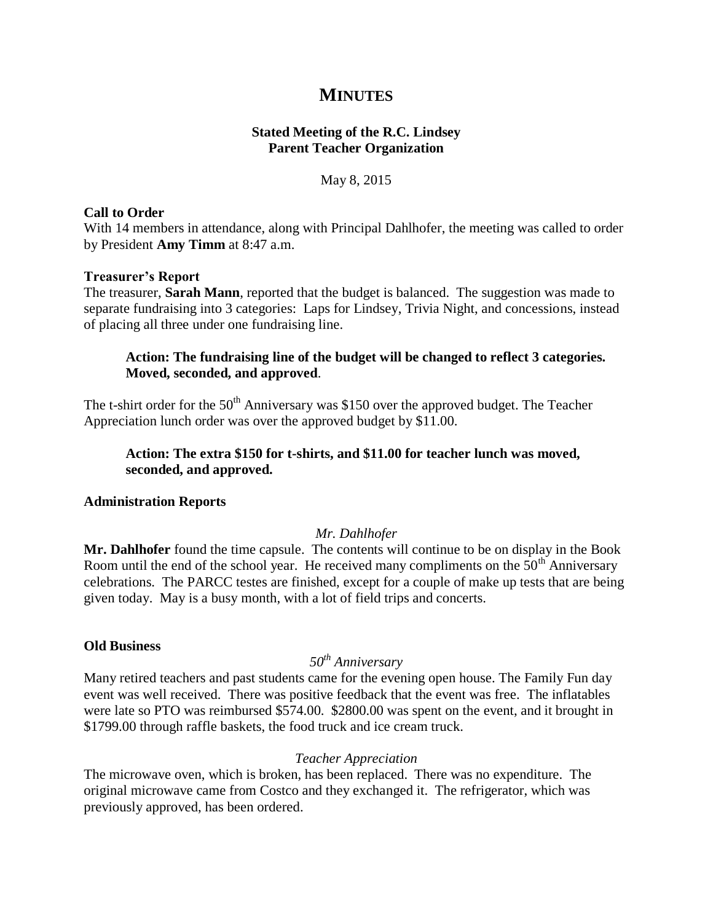# **MINUTES**

# **Stated Meeting of the R.C. Lindsey Parent Teacher Organization**

May 8, 2015

### **Call to Order**

With 14 members in attendance, along with Principal Dahlhofer, the meeting was called to order by President **Amy Timm** at 8:47 a.m.

### **Treasurer's Report**

The treasurer, **Sarah Mann**, reported that the budget is balanced. The suggestion was made to separate fundraising into 3 categories: Laps for Lindsey, Trivia Night, and concessions, instead of placing all three under one fundraising line.

# **Action: The fundraising line of the budget will be changed to reflect 3 categories. Moved, seconded, and approved**.

The t-shirt order for the  $50<sup>th</sup>$  Anniversary was \$150 over the approved budget. The Teacher Appreciation lunch order was over the approved budget by \$11.00.

# **Action: The extra \$150 for t-shirts, and \$11.00 for teacher lunch was moved, seconded, and approved.**

# **Administration Reports**

# *Mr. Dahlhofer*

**Mr. Dahlhofer** found the time capsule. The contents will continue to be on display in the Book Room until the end of the school year. He received many compliments on the  $50<sup>th</sup>$  Anniversary celebrations. The PARCC testes are finished, except for a couple of make up tests that are being given today. May is a busy month, with a lot of field trips and concerts.

#### **Old Business**

# *50th Anniversary*

Many retired teachers and past students came for the evening open house. The Family Fun day event was well received. There was positive feedback that the event was free. The inflatables were late so PTO was reimbursed \$574.00. \$2800.00 was spent on the event, and it brought in \$1799.00 through raffle baskets, the food truck and ice cream truck.

#### *Teacher Appreciation*

The microwave oven, which is broken, has been replaced. There was no expenditure. The original microwave came from Costco and they exchanged it. The refrigerator, which was previously approved, has been ordered.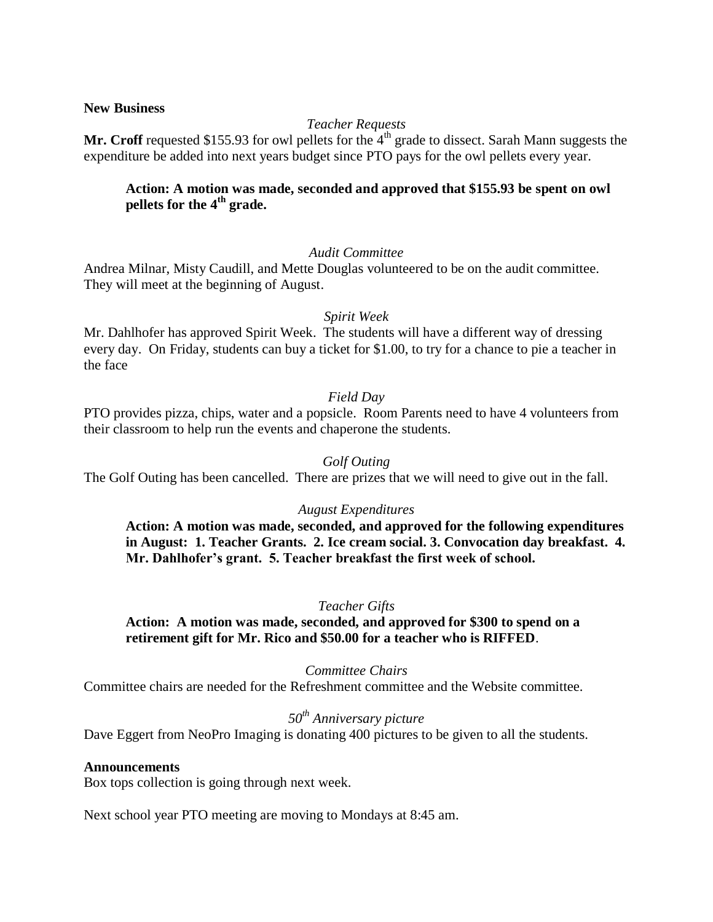#### **New Business**

# *Teacher Requests*

**Mr. Croff** requested \$155.93 for owl pellets for the  $4<sup>th</sup>$  grade to dissect. Sarah Mann suggests the expenditure be added into next years budget since PTO pays for the owl pellets every year.

# **Action: A motion was made, seconded and approved that \$155.93 be spent on owl pellets for the 4th grade.**

### *Audit Committee*

Andrea Milnar, Misty Caudill, and Mette Douglas volunteered to be on the audit committee. They will meet at the beginning of August.

#### *Spirit Week*

Mr. Dahlhofer has approved Spirit Week. The students will have a different way of dressing every day. On Friday, students can buy a ticket for \$1.00, to try for a chance to pie a teacher in the face

### *Field Day*

PTO provides pizza, chips, water and a popsicle. Room Parents need to have 4 volunteers from their classroom to help run the events and chaperone the students.

### *Golf Outing*

The Golf Outing has been cancelled. There are prizes that we will need to give out in the fall.

#### *August Expenditures*

**Action: A motion was made, seconded, and approved for the following expenditures in August: 1. Teacher Grants. 2. Ice cream social. 3. Convocation day breakfast. 4. Mr. Dahlhofer's grant. 5. Teacher breakfast the first week of school.** 

#### *Teacher Gifts*

**Action: A motion was made, seconded, and approved for \$300 to spend on a retirement gift for Mr. Rico and \$50.00 for a teacher who is RIFFED**.

#### *Committee Chairs*

Committee chairs are needed for the Refreshment committee and the Website committee.

# *50th Anniversary picture*

Dave Eggert from NeoPro Imaging is donating 400 pictures to be given to all the students.

### **Announcements**

Box tops collection is going through next week.

Next school year PTO meeting are moving to Mondays at 8:45 am.